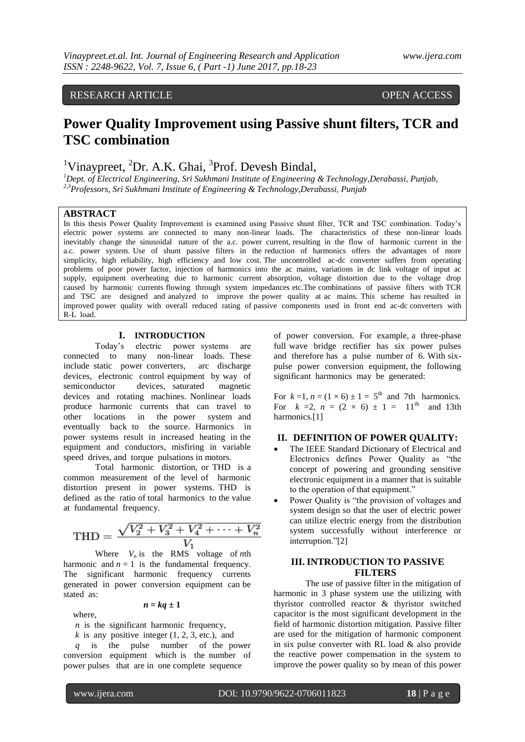# RESEARCH ARTICLE **CONTRACT OPEN ACCESS**

# **Power Quality Improvement using Passive shunt filters, TCR and TSC combination**

<sup>1</sup>Vinaypreet, <sup>2</sup>Dr. A.K. Ghai, <sup>3</sup>Prof. Devesh Bindal,

*<sup>1</sup>Dept. of Electrical Engineering, Sri Sukhmani Institute of Engineering & Technology,Derabassi, Punjab, 2,3Professors, Sri Sukhmani Institute of Engineering & Technology,Derabassi, Punjab*

#### **ABSTRACT**

In this thesis Power Quality Improvement is examined using Passive shunt filter, TCR and TSC combination. Today's electric power systems are connected to many non-linear loads. The characteristics of these non-linear loads inevitably change the sinusoidal nature of the a.c. power current, resulting in the flow of harmonic current in the a.c. power system. Use of shunt passive filters in the reduction of harmonics offers the advantages of more simplicity, high reliability, high efficiency and low cost. The uncontrolled ac-dc converter suffers from operating problems of poor power factor, injection of harmonics into the ac mains, variations in dc link voltage of input ac supply, equipment overheating due to harmonic current absorption, voltage distortion due to the voltage drop caused by harmonic currents flowing through system impedances etc.The combinations of passive filters with TCR and TSC are designed and analyzed to improve the power quality at ac mains. This scheme has resulted in improved power quality with overall reduced rating of passive components used in front end ac-dc converters with R-L load.

#### **I. INTRODUCTION**

Today's electric power systems are connected to many non-linear loads. These include static power converters, arc discharge devices, electronic control equipment by way of semiconductor devices, saturated magnetic devices and rotating machines. Nonlinear loads produce harmonic currents that can travel to other locations in the power system and eventually back to the source. Harmonics in power systems result in increased heating in the equipment and conductors, misfiring in variable speed drives, and torque pulsations in motors.

[Total harmonic distortion,](http://en.wikipedia.org/wiki/Total_harmonic_distortion) or THD is a common measurement of the level of harmonic distortion present in power systems. THD is defined as the ratio of total harmonics to the value at fundamental frequency.

$$
\text{THD} = \frac{\sqrt{V_2^2 + V_3^2 + V_4^2 + \dots + V_n^2}}{V_1}
$$

Where  $V_n$  is the RMS voltage of *n*th harmonic and  $n = 1$  is the fundamental frequency. The significant harmonic frequency currents generated in power conversion equipment can be stated as:

$$
n = kq \pm 1
$$

where,

*n* is the significant harmonic frequency,

 $k$  is any positive integer  $(1, 2, 3, \text{ etc.})$ , and *q* is the pulse number of the power conversion equipment which is the number of power pulses that are in one complete sequence

of power conversion. For example, a three-phase full wave bridge rectifier has six power pulses and therefore has a pulse number of 6. With sixpulse power conversion equipment, the following significant harmonics may be generated:

For  $k=1$ ,  $n = (1 \times 6) \pm 1 = 5$ <sup>th</sup> and 7th harmonics. For  $k = 2$ ,  $n = (2 \times 6) \pm 1 = 11^{\text{th}}$  and 13th harmonics.[1]

# **II. DEFINITION OF POWER QUALITY:**

- The IEEE Standard Dictionary of Electrical and Electronics defines Power Quality as "the concept of powering and grounding sensitive electronic equipment in a manner that is suitable to the operation of that equipment."
- Power Quality is "the provision of voltages and system design so that the user of electric power can utilize electric energy from the distribution system successfully without interference or interruption."[2]

# **III. INTRODUCTION TO PASSIVE FILTERS**

The use of passive filter in the mitigation of harmonic in 3 phase system use the utilizing with thyristor controlled reactor & thyristor switched capacitor is the most significant development in the field of harmonic distortion mitigation. Passive filter are used for the mitigation of harmonic component in six pulse converter with RL load & also provide the reactive power compensation in the system to improve the power quality so by mean of this power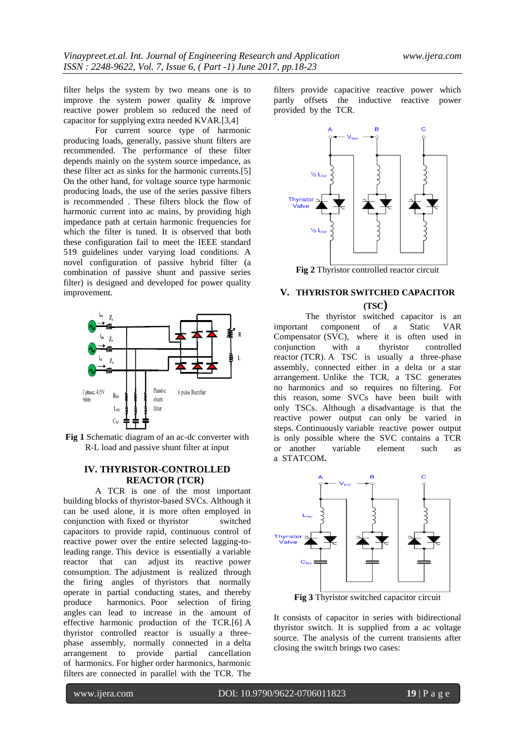filter helps the system by two means one is to improve the system power quality & improve reactive power problem so reduced the need of capacitor for supplying extra needed KVAR.[3,4]

For current source type of harmonic producing loads, generally, passive shunt filters are recommended. The performance of these filter depends mainly on the system source impedance, as these filter act as sinks for the harmonic currents.[5] On the other hand, for voltage source type harmonic producing loads, the use of the series passive filters is recommended . These filters block the flow of harmonic current into ac mains, by providing high impedance path at certain harmonic frequencies for which the filter is tuned. It is observed that both these configuration fail to meet the IEEE standard 519 guidelines under varying load conditions. A novel configuration of passive hybrid filter (a combination of passive shunt and passive series filter) is designed and developed for power quality improvement.



**Fig 1** Schematic diagram of an ac-dc converter with R-L load and passive shunt filter at input

# **IV. THYRISTOR-CONTROLLED REACTOR (TCR)**

A TCR is one of the most important building blocks of thyristor-based SVCs. Although it can be used alone, it is more often employed in conjunction with fixed or thyristor switched capacitors to provide rapid, continuous control of reactive power over the entire selected lagging-toleading range. This device is essentially a variable reactor that can adjust its reactive power consumption. The adjustment is realized through the firing angles of thyristors that normally operate in partial conducting states, and thereby produce harmonics. Poor selection of firing angles can lead to increase in the amount of effective harmonic production of the TCR.[6] A thyristor controlled reactor is usually a threephase assembly, normally connected in a delta arrangement to provide partial cancellation of harmonics. For higher order harmonics, [harmonic](http://en.wikipedia.org/wiki/Harmonic_Filters)  [filters](http://en.wikipedia.org/wiki/Harmonic_Filters) are connected in parallel with the TCR. The

filters provide capacitive reactive power which partly offsets the inductive reactive power provided by the TCR.



**Fig 2** Thyristor controlled reactor circuit

# **V. THYRISTOR SWITCHED CAPACITOR (TSC)**

The thyristor switched capacitor is an<br>t component of a Static VAR important component of a Static VAR Compensator (SVC), where it is often used in conjunction with a thyristor controlled reactor (TCR). A TSC is usually a three-phase assembly, connected either in a delta or a star arrangement. Unlike the TCR, a TSC generates no harmonics and so requires no filtering. For this reason, some SVCs have been built with only TSCs. Although a disadvantage is that the reactive power output can only be varied in steps. Continuously variable reactive power output is only possible where the SVC contains a TCR or another variable element such as a STATCOM**.**



**Fig 3** Thyristor switched capacitor circuit

It consists of capacitor in series with bidirectional thyristor switch. It is supplied from a ac voltage source. The analysis of the current transients after closing the switch brings two cases: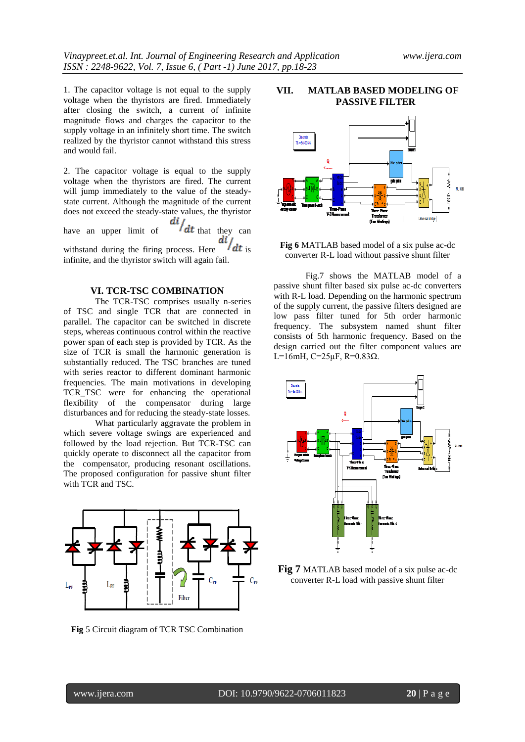Universal bridge

1. The capacitor voltage is not equal to the supply voltage when the thyristors are fired. Immediately after closing the switch, a current of infinite magnitude flows and charges the capacitor to the supply voltage in an infinitely short time. The switch realized by the thyristor cannot withstand this stress and would fail.

2. The capacitor voltage is equal to the supply voltage when the thyristors are fired. The current will jump immediately to the value of the steadystate current. Although the magnitude of the current does not exceed the steady-state values, the thyristor<br>have an upper limit of  $\frac{di}{dt}$  that they can

have an upper limit of  $/dt$  that they can  $\frac{di}{dt}$  is withstand during the firing process. Here infinite, and the thyristor switch will again fail.

#### **VI. TCR-TSC COMBINATION**

The TCR-TSC comprises usually n-series of TSC and single TCR that are connected in parallel. The capacitor can be switched in discrete steps, whereas continuous control within the reactive power span of each step is provided by TCR. As the size of TCR is small the harmonic generation is substantially reduced. The TSC branches are tuned with series reactor to different dominant harmonic frequencies. The main motivations in developing TCR TSC were for enhancing the operational flexibility of the compensator during large disturbances and for reducing the steady-state losses.

What particularly aggravate the problem in which severe voltage swings are experienced and followed by the load rejection. But TCR-TSC can quickly operate to disconnect all the capacitor from the compensator, producing resonant oscillations. The proposed configuration for passive shunt filter with TCR and TSC.



**Fig** 5 Circuit diagram of TCR TSC Combination



# **VII. MATLAB BASED MODELING OF PASSIVE FILTER**

**Fig 6** MATLAB based model of a six pulse ac-dc converter R-L load without passive shunt filter

Fig.7 shows the MATLAB model of a passive shunt filter based six pulse ac-dc converters with R-L load. Depending on the harmonic spectrum of the supply current, the passive filters designed are low pass filter tuned for 5th order harmonic frequency. The subsystem named shunt filter consists of 5th harmonic frequency. Based on the design carried out the filter component values are L=16mH, C=25μF, R=0.83Ω.



**Fig 7** MATLAB based model of a six pulse ac-dc converter R-L load with passive shunt filter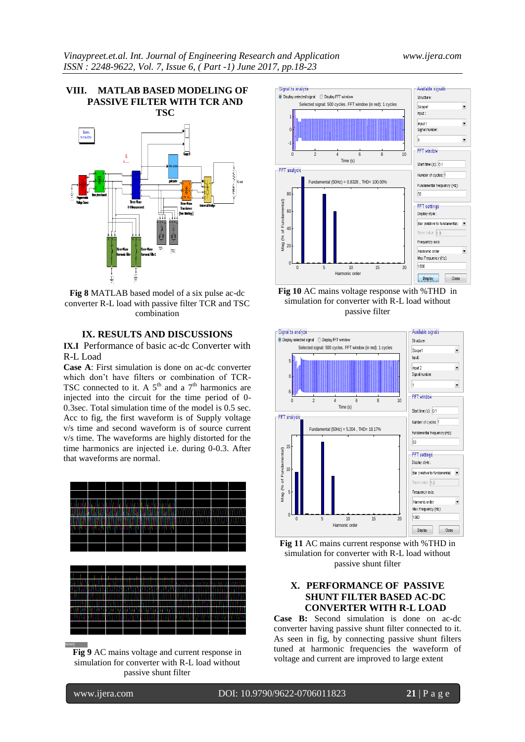

**Fig 8** MATLAB based model of a six pulse ac-dc converter R-L load with passive filter TCR and TSC combination

#### **IX. RESULTS AND DISCUSSIONS**

**IX.I** Performance of basic ac-dc Converter with R-L Load

**Case A**: First simulation is done on ac-dc converter which don't have filters or combination of TCR-TSC connected to it. A  $5<sup>th</sup>$  and a  $7<sup>th</sup>$  harmonics are injected into the circuit for the time period of 0- 0.3sec. Total simulation time of the model is 0.5 sec. Acc to fig, the first waveform is of Supply voltage v/s time and second waveform is of source current v/s time. The waveforms are highly distorted for the time harmonics are injected i.e. during 0-0.3. After that waveforms are normal.



**Fig 9** AC mains voltage and current response in simulation for converter with R-L load without passive shunt filter



**Fig 10** AC mains voltage response with %THD in simulation for converter with R-L load without passive filter



**Fig 11** AC mains current response with %THD in simulation for converter with R-L load without passive shunt filter

# **X. PERFORMANCE OF PASSIVE SHUNT FILTER BASED AC-DC CONVERTER WITH R-L LOAD**

**Case B:** Second simulation is done on ac-dc converter having passive shunt filter connected to it. As seen in fig, by connecting passive shunt filters tuned at harmonic frequencies the waveform of voltage and current are improved to large extent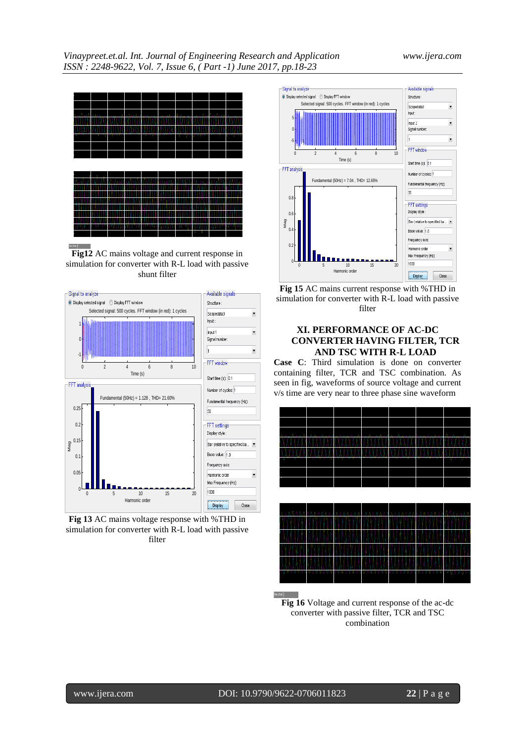

**Fig12** AC mains voltage and current response in simulation for converter with R-L load with passive shunt filter



**Fig 13** AC mains voltage response with %THD in simulation for converter with R-L load with passive filter



**Fig 15** AC mains current response with %THD in simulation for converter with R-L load with passive filter

# **XI. PERFORMANCE OF AC-DC CONVERTER HAVING FILTER, TCR AND TSC WITH R-L LOAD**

**Case C**: Third simulation is done on converter containing filter, TCR and TSC combination. As seen in fig, waveforms of source voltage and current v/s time are very near to three phase sine waveform